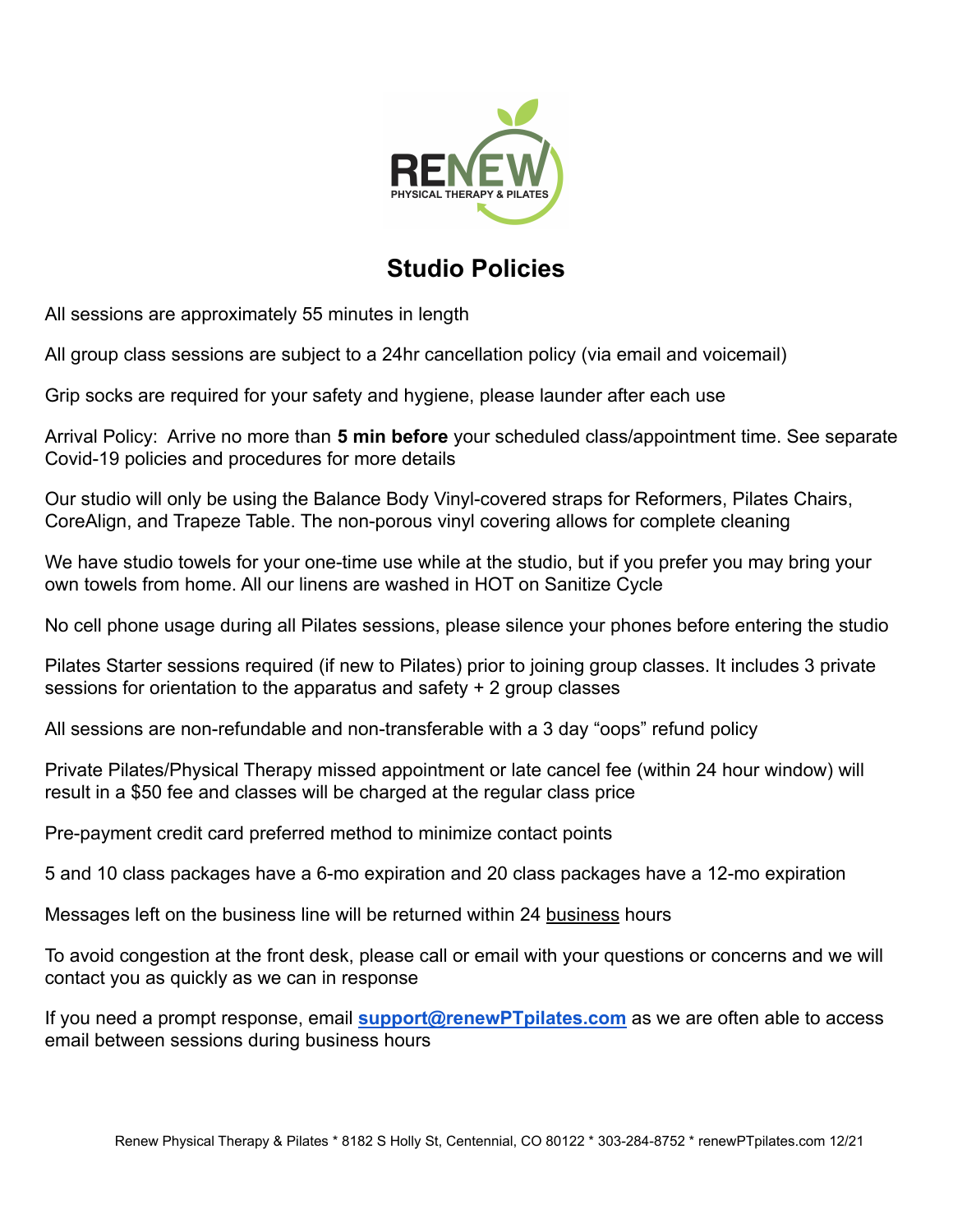

## **Studio Policies**

All sessions are approximately 55 minutes in length

All group class sessions are subject to a 24hr cancellation policy (via email and voicemail)

Grip socks are required for your safety and hygiene, please launder after each use

Arrival Policy: Arrive no more than **5 min before** your scheduled class/appointment time. See separate Covid-19 policies and procedures for more details

Our studio will only be using the Balance Body Vinyl-covered straps for Reformers, Pilates Chairs, CoreAlign, and Trapeze Table. The non-porous vinyl covering allows for complete cleaning

We have studio towels for your one-time use while at the studio, but if you prefer you may bring your own towels from home. All our linens are washed in HOT on Sanitize Cycle

No cell phone usage during all Pilates sessions, please silence your phones before entering the studio

Pilates Starter sessions required (if new to Pilates) prior to joining group classes. It includes 3 private sessions for orientation to the apparatus and safety + 2 group classes

All sessions are non-refundable and non-transferable with a 3 day "oops" refund policy

Private Pilates/Physical Therapy missed appointment or late cancel fee (within 24 hour window) will result in a \$50 fee and classes will be charged at the regular class price

Pre-payment credit card preferred method to minimize contact points

5 and 10 class packages have a 6-mo expiration and 20 class packages have a 12-mo expiration

Messages left on the business line will be returned within 24 business hours

To avoid congestion at the front desk, please call or email with your questions or concerns and we will contact you as quickly as we can in response

If you need a prompt response, email **[support@renewPTpilates.com](mailto:support@renewPTpilates.com)** as we are often able to access email between sessions during business hours